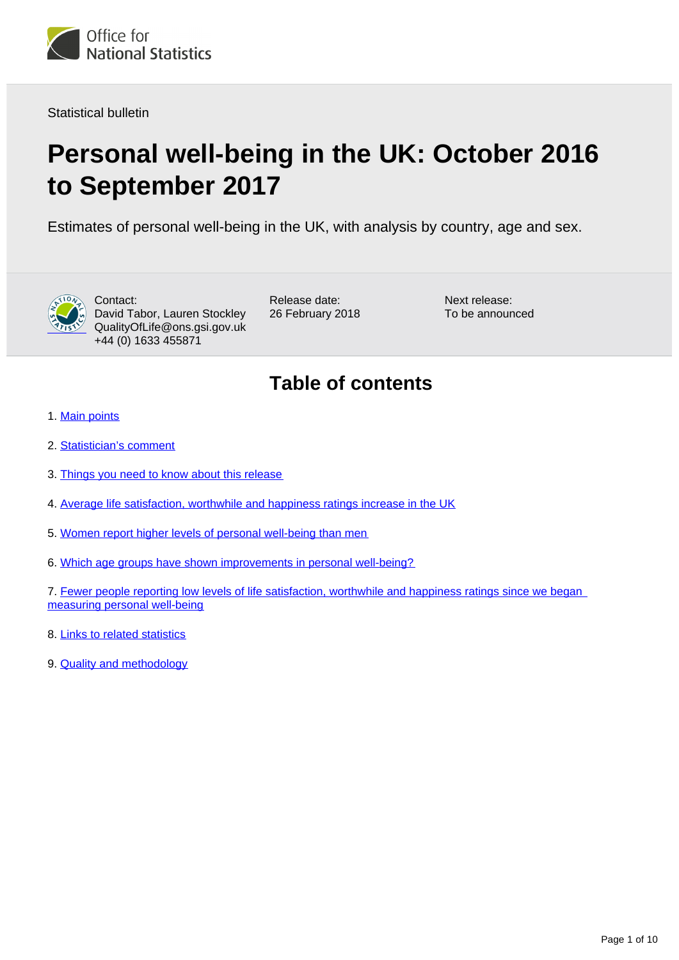

Statistical bulletin

# **Personal well-being in the UK: October 2016 to September 2017**

Estimates of personal well-being in the UK, with analysis by country, age and sex.



Contact: David Tabor, Lauren Stockley QualityOfLife@ons.gsi.gov.uk +44 (0) 1633 455871

Release date: 26 February 2018 Next release: To be announced

## **Table of contents**

- 1. [Main points](#page-1-0)
- 2. [Statistician's comment](#page-1-1)
- 3. [Things you need to know about this release](#page-1-2)
- 4. [Average life satisfaction, worthwhile and happiness ratings increase in the UK](#page-2-0)
- 5. [Women report higher levels of personal well-being than men](#page-4-0)
- 6. [Which age groups have shown improvements in personal well-being?](#page-5-0)

7. Fewer people reporting low levels of life satisfaction, worthwhile and happiness ratings since we began [measuring personal well-being](#page-6-0)

- 8. [Links to related statistics](#page-7-0)
- 9. [Quality and methodology](#page-7-1)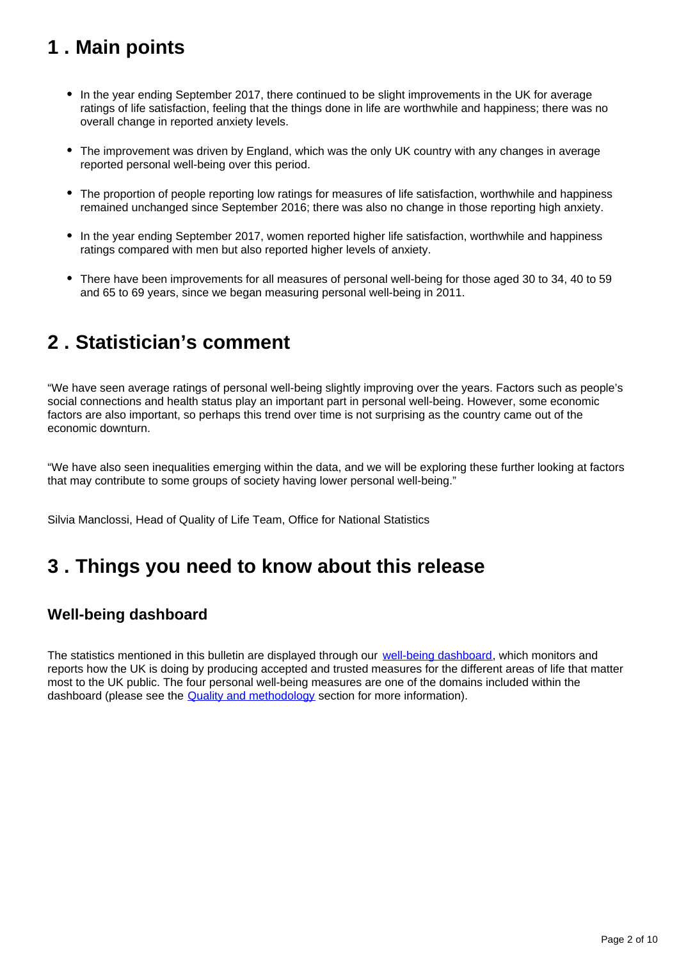## <span id="page-1-0"></span>**1 . Main points**

- In the year ending September 2017, there continued to be slight improvements in the UK for average ratings of life satisfaction, feeling that the things done in life are worthwhile and happiness; there was no overall change in reported anxiety levels.
- The improvement was driven by England, which was the only UK country with any changes in average reported personal well-being over this period.
- The proportion of people reporting low ratings for measures of life satisfaction, worthwhile and happiness remained unchanged since September 2016; there was also no change in those reporting high anxiety.
- In the year ending September 2017, women reported higher life satisfaction, worthwhile and happiness ratings compared with men but also reported higher levels of anxiety.
- There have been improvements for all measures of personal well-being for those aged 30 to 34, 40 to 59 and 65 to 69 years, since we began measuring personal well-being in 2011.

## <span id="page-1-1"></span>**2 . Statistician's comment**

"We have seen average ratings of personal well-being slightly improving over the years. Factors such as people's social connections and health status play an important part in personal well-being. However, some economic factors are also important, so perhaps this trend over time is not surprising as the country came out of the economic downturn.

"We have also seen inequalities emerging within the data, and we will be exploring these further looking at factors that may contribute to some groups of society having lower personal well-being."

Silvia Manclossi, Head of Quality of Life Team, Office for National Statistics

### <span id="page-1-2"></span>**3 . Things you need to know about this release**

### **Well-being dashboard**

The statistics mentioned in this bulletin are displayed through our [well-being dashboard](https://www.ons.gov.uk/visualisations/dvc364/dashboard/index.html), which monitors and reports how the UK is doing by producing accepted and trusted measures for the different areas of life that matter most to the UK public. The four personal well-being measures are one of the domains included within the dashboard (please see the **[Quality and methodology](https://www.ons.gov.uk/peoplepopulationandcommunity/wellbeing/bulletins/measuringnationalwellbeing/october2016toseptember2017#quality-and-methodology)** section for more information).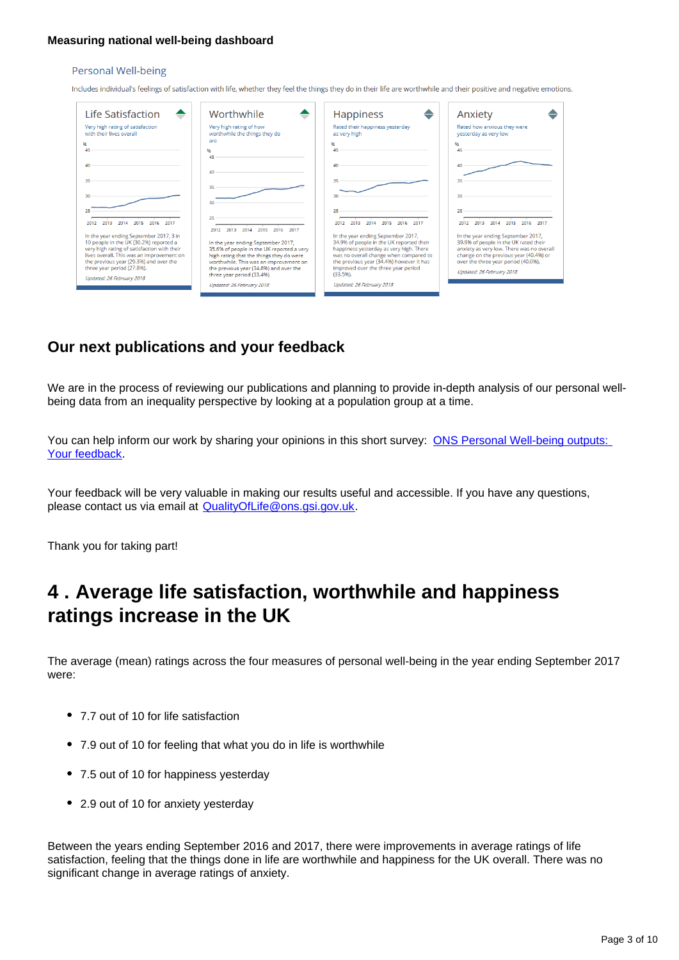#### **Measuring national well-being dashboard**

#### Personal Well-being

Includes individual's feelings of satisfaction with life, whether they feel the things they do in their life are worthwhile and their positive and negative emotions.

| Life Satisfaction                                                                                                                                                                                                                                                                  | Worthwhile                                                                                                                                                                                                                                                                                    | <b>Happiness</b>                                                                                                                                                                                                                                                   | Anxiety                                                                                                                                                                                                                                |
|------------------------------------------------------------------------------------------------------------------------------------------------------------------------------------------------------------------------------------------------------------------------------------|-----------------------------------------------------------------------------------------------------------------------------------------------------------------------------------------------------------------------------------------------------------------------------------------------|--------------------------------------------------------------------------------------------------------------------------------------------------------------------------------------------------------------------------------------------------------------------|----------------------------------------------------------------------------------------------------------------------------------------------------------------------------------------------------------------------------------------|
| Very high rating of satisfaction<br>with their lives overall.                                                                                                                                                                                                                      | Very high rating of how<br>worthwhile the things they do                                                                                                                                                                                                                                      | Rated their happiness yesterday<br>as very high                                                                                                                                                                                                                    | Rated how anxious they were<br>yesterday as very low                                                                                                                                                                                   |
| 96.<br>45                                                                                                                                                                                                                                                                          | are<br>96<br>45                                                                                                                                                                                                                                                                               | 96.<br>ИR.                                                                                                                                                                                                                                                         | 96.<br>45                                                                                                                                                                                                                              |
| 40                                                                                                                                                                                                                                                                                 | 40                                                                                                                                                                                                                                                                                            | 40                                                                                                                                                                                                                                                                 | 40                                                                                                                                                                                                                                     |
| 35.                                                                                                                                                                                                                                                                                | 35                                                                                                                                                                                                                                                                                            | 35.                                                                                                                                                                                                                                                                | 35                                                                                                                                                                                                                                     |
| 30.<br>25                                                                                                                                                                                                                                                                          | 30                                                                                                                                                                                                                                                                                            | 30<br>25                                                                                                                                                                                                                                                           | 30<br>25                                                                                                                                                                                                                               |
| 2014<br>2015<br>2016<br>2017                                                                                                                                                                                                                                                       | 25                                                                                                                                                                                                                                                                                            | 2015<br>2016<br>2017                                                                                                                                                                                                                                               | 2015<br>2014<br>2016                                                                                                                                                                                                                   |
| In the year ending September 2017, 3 in<br>10 people in the UK (30.2%) reported a<br>very high rating of satisfaction with their<br>lives overall. This was an improvement on<br>the previous year (29.3%) and over the<br>three year period (27.8%).<br>Updated: 26 February 2018 | 2014<br>2015<br>2016<br>2017<br>2012<br>2013<br>In the year ending September 2017,<br>35.6% of people in the UK reported a very<br>high rating that the things they do were<br>worthwhile. This was an improvement on<br>the previous year (34.6%) and over the<br>three year period (33.4%). | In the year ending September 2017,<br>34.9% of people in the UK reported their<br>happiness yesterday as very high. There<br>was no overall change when compared to<br>the previous year (34.4%) however it has<br>improved over the three year period<br>(33.596) | In the year ending September 2017,<br>39.9% of people in the UK rated their<br>anxiety as very low. There was no overall<br>change on the previous year (40.4%) or<br>over the three year period (40.0%).<br>Updated: 26 February 2018 |
|                                                                                                                                                                                                                                                                                    | Updated: 26 February 2018                                                                                                                                                                                                                                                                     | Updated: 26 February 2018                                                                                                                                                                                                                                          |                                                                                                                                                                                                                                        |

### **Our next publications and your feedback**

We are in the process of reviewing our publications and planning to provide in-depth analysis of our personal wellbeing data from an inequality perspective by looking at a population group at a time.

You can help inform our work by sharing your opinions in this short survey: ONS Personal Well-being outputs: [Your feedback](https://www.surveymonkey.co.uk/r/LRDG9HT).

Your feedback will be very valuable in making our results useful and accessible. If you have any questions, please contact us via email at QualityOfLife@ons.gsi.gov.uk.

Thank you for taking part!

### <span id="page-2-0"></span>**4 . Average life satisfaction, worthwhile and happiness ratings increase in the UK**

The average (mean) ratings across the four measures of personal well-being in the year ending September 2017 were:

- 7.7 out of 10 for life satisfaction
- 7.9 out of 10 for feeling that what you do in life is worthwhile
- 7.5 out of 10 for happiness yesterday
- 2.9 out of 10 for anxiety yesterday

Between the years ending September 2016 and 2017, there were improvements in average ratings of life satisfaction, feeling that the things done in life are worthwhile and happiness for the UK overall. There was no significant change in average ratings of anxiety.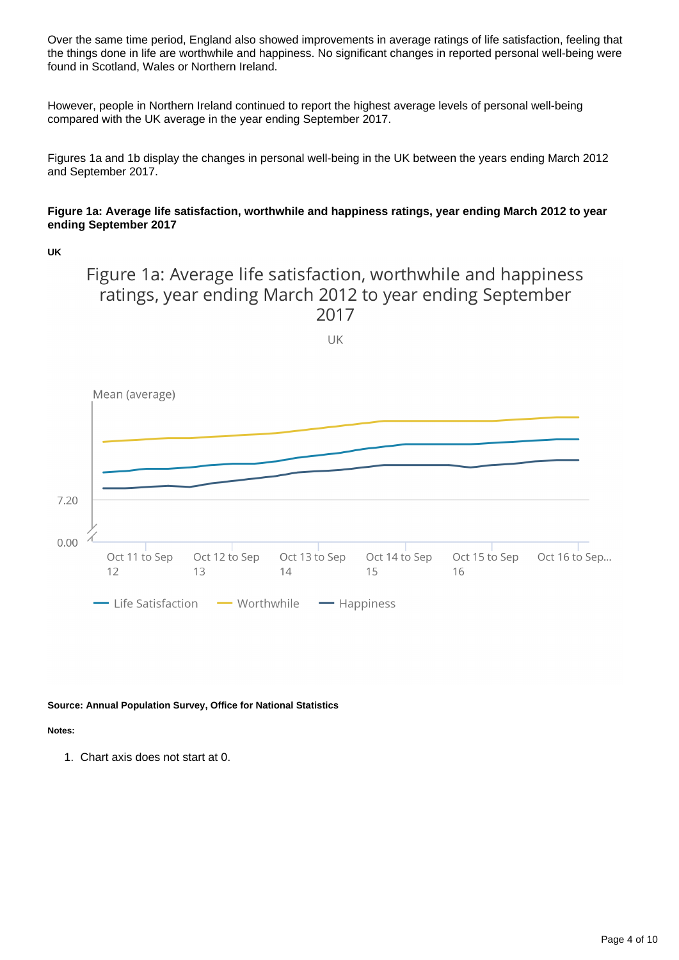Over the same time period, England also showed improvements in average ratings of life satisfaction, feeling that the things done in life are worthwhile and happiness. No significant changes in reported personal well-being were found in Scotland, Wales or Northern Ireland.

However, people in Northern Ireland continued to report the highest average levels of personal well-being compared with the UK average in the year ending September 2017.

Figures 1a and 1b display the changes in personal well-being in the UK between the years ending March 2012 and September 2017.

### **Figure 1a: Average life satisfaction, worthwhile and happiness ratings, year ending March 2012 to year ending September 2017**

**UK**

Figure 1a: Average life satisfaction, worthwhile and happiness ratings, year ending March 2012 to year ending September 2017

UK



**Source: Annual Population Survey, Office for National Statistics**

**Notes:**

1. Chart axis does not start at 0.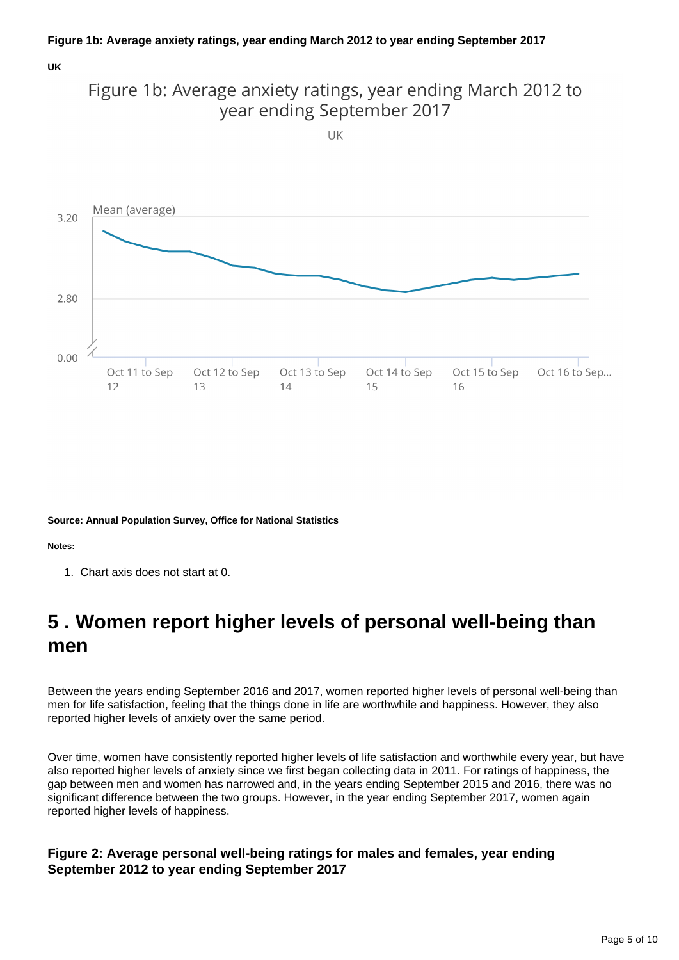#### **UK**



**Source: Annual Population Survey, Office for National Statistics**

**Notes:**

1. Chart axis does not start at 0.

## <span id="page-4-0"></span>**5 . Women report higher levels of personal well-being than men**

Between the years ending September 2016 and 2017, women reported higher levels of personal well-being than men for life satisfaction, feeling that the things done in life are worthwhile and happiness. However, they also reported higher levels of anxiety over the same period.

Over time, women have consistently reported higher levels of life satisfaction and worthwhile every year, but have also reported higher levels of anxiety since we first began collecting data in 2011. For ratings of happiness, the gap between men and women has narrowed and, in the years ending September 2015 and 2016, there was no significant difference between the two groups. However, in the year ending September 2017, women again reported higher levels of happiness.

### **Figure 2: Average personal well-being ratings for males and females, year ending September 2012 to year ending September 2017**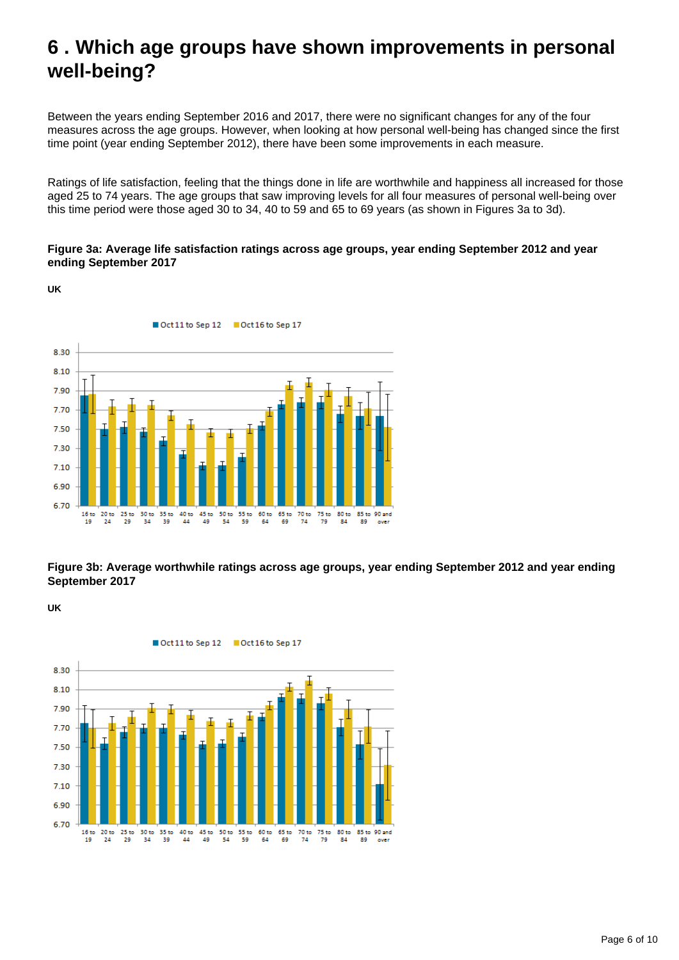## <span id="page-5-0"></span>**6 . Which age groups have shown improvements in personal well-being?**

Between the years ending September 2016 and 2017, there were no significant changes for any of the four measures across the age groups. However, when looking at how personal well-being has changed since the first time point (year ending September 2012), there have been some improvements in each measure.

Ratings of life satisfaction, feeling that the things done in life are worthwhile and happiness all increased for those aged 25 to 74 years. The age groups that saw improving levels for all four measures of personal well-being over this time period were those aged 30 to 34, 40 to 59 and 65 to 69 years (as shown in Figures 3a to 3d).

### **Figure 3a: Average life satisfaction ratings across age groups, year ending September 2012 and year ending September 2017**

Oct 11 to Sep 12 Cct 16 to Sep 17 8.30 8.10 7.90 7.70 7.50 7.30  $7.10$ 6.90 6.70 30 to 35 to<br>34 39 65 to<br>69  $16<sub>to</sub>$  $20<sub>to</sub>$ 25 to  $\frac{40 \text{ to}}{44}$ 45 to<br>49 50 to<br>54 55 to<br>59 60 to<br>64 70 to<br>74 75 to<br>79 80 to<br>84 85 to 90 and 29

**Figure 3b: Average worthwhile ratings across age groups, year ending September 2012 and year ending September 2017**

**UK**

**UK**



Oct 11 to Sep 12 Coct 16 to Sep 17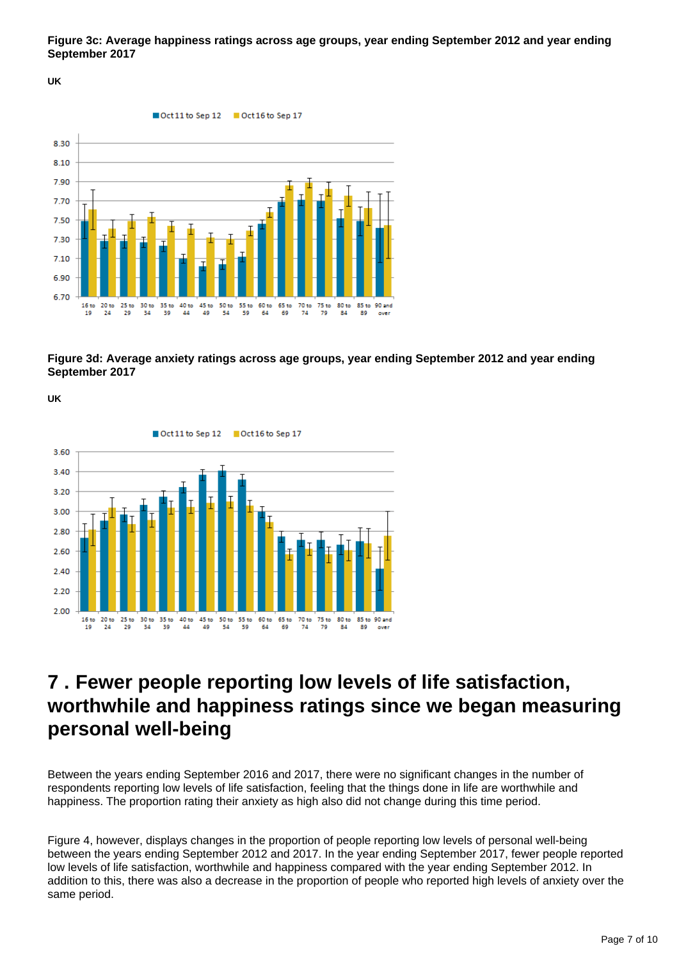**Figure 3c: Average happiness ratings across age groups, year ending September 2012 and year ending September 2017**

**UK**



**Figure 3d: Average anxiety ratings across age groups, year ending September 2012 and year ending September 2017**

**UK**



### <span id="page-6-0"></span>**7 . Fewer people reporting low levels of life satisfaction, worthwhile and happiness ratings since we began measuring personal well-being**

Between the years ending September 2016 and 2017, there were no significant changes in the number of respondents reporting low levels of life satisfaction, feeling that the things done in life are worthwhile and happiness. The proportion rating their anxiety as high also did not change during this time period.

Figure 4, however, displays changes in the proportion of people reporting low levels of personal well-being between the years ending September 2012 and 2017. In the year ending September 2017, fewer people reported low levels of life satisfaction, worthwhile and happiness compared with the year ending September 2012. In addition to this, there was also a decrease in the proportion of people who reported high levels of anxiety over the same period.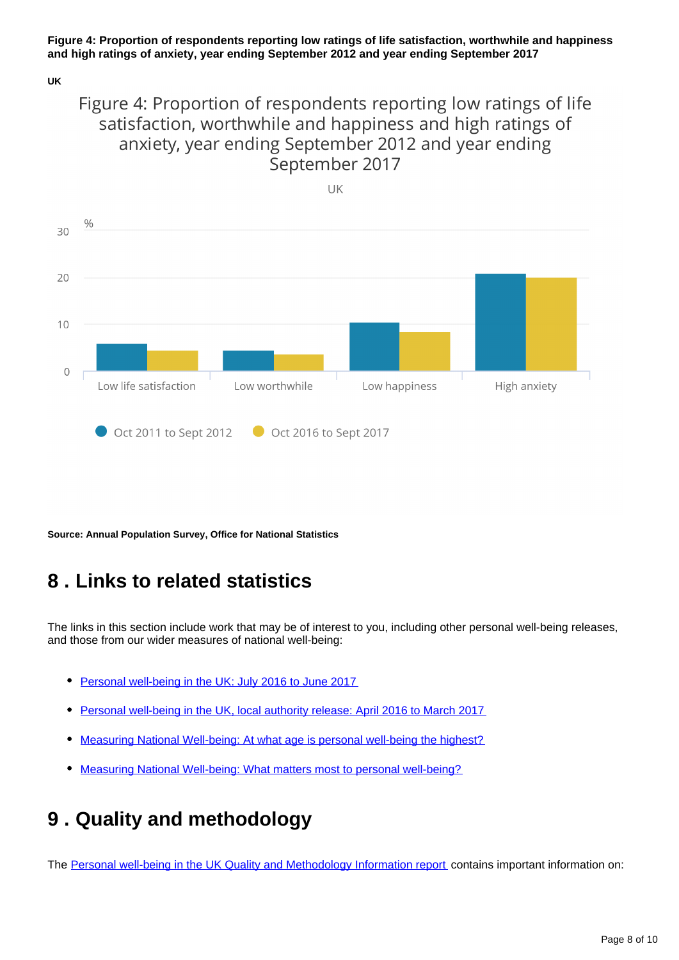### **Figure 4: Proportion of respondents reporting low ratings of life satisfaction, worthwhile and happiness and high ratings of anxiety, year ending September 2012 and year ending September 2017**

**UK**

### Figure 4: Proportion of respondents reporting low ratings of life satisfaction, worthwhile and happiness and high ratings of anxiety, year ending September 2012 and year ending September 2017



**Source: Annual Population Survey, Office for National Statistics**

## <span id="page-7-0"></span>**8 . Links to related statistics**

The links in this section include work that may be of interest to you, including other personal well-being releases, and those from our wider measures of national well-being:

- $\bullet$ [Personal well-being in the UK: July 2016 to June 2017](https://www.ons.gov.uk/peoplepopulationandcommunity/wellbeing/bulletins/measuringnationalwellbeing/july2016tojune2017)
- [Personal well-being in the UK, local authority release: April 2016 to March 2017](https://www.ons.gov.uk/peoplepopulationandcommunity/wellbeing/bulletins/measuringnationalwellbeing/april2016tomarch2017)
- [Measuring National Well-being: At what age is personal well-being the highest?](https://www.ons.gov.uk/peoplepopulationandcommunity/wellbeing/articles/measuringnationalwellbeing/atwhatageispersonalwellbeingthehighest)
- [Measuring National Well-being: What matters most to personal well-being?](http://webarchive.nationalarchives.gov.uk/20160105160709/http:/www.ons.gov.uk/ons/rel/wellbeing/measuring-national-well-being/what-matters-most-to-personal-well-being-in-the-uk-/index.html)

## <span id="page-7-1"></span>**9 . Quality and methodology**

The [Personal well-being in the UK Quality and Methodology Information report](https://www.ons.gov.uk/peoplepopulationandcommunity/wellbeing/methodologies/personalwellbeingintheukqmi) contains important information on: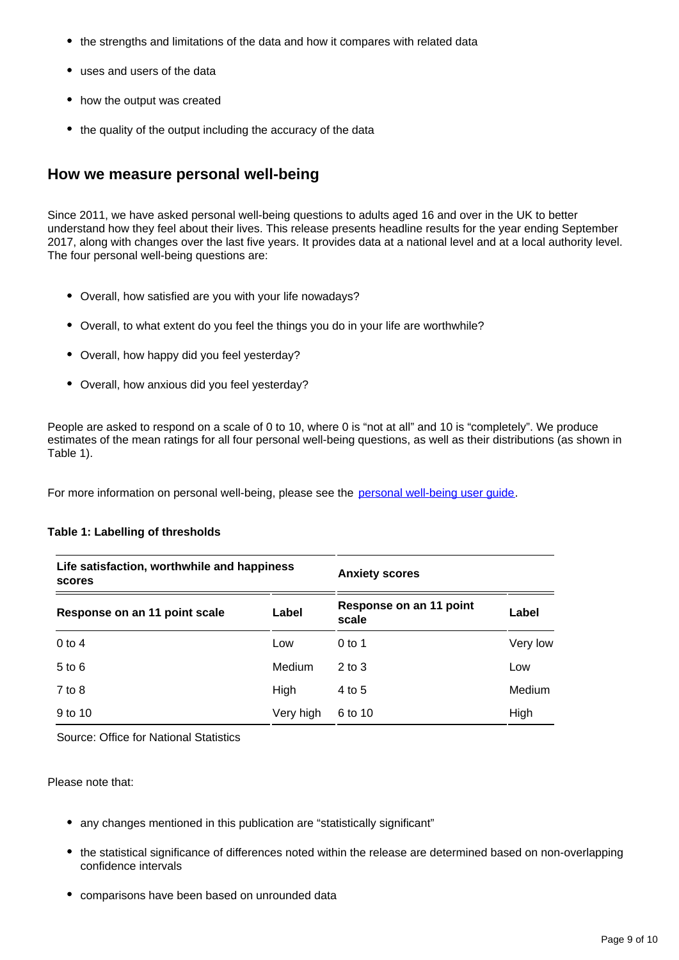- the strengths and limitations of the data and how it compares with related data
- uses and users of the data
- how the output was created
- the quality of the output including the accuracy of the data

### **How we measure personal well-being**

Since 2011, we have asked personal well-being questions to adults aged 16 and over in the UK to better understand how they feel about their lives. This release presents headline results for the year ending September 2017, along with changes over the last five years. It provides data at a national level and at a local authority level. The four personal well-being questions are:

- Overall, how satisfied are you with your life nowadays?
- Overall, to what extent do you feel the things you do in your life are worthwhile?
- Overall, how happy did you feel yesterday?
- Overall, how anxious did you feel yesterday?

People are asked to respond on a scale of 0 to 10, where 0 is "not at all" and 10 is "completely". We produce estimates of the mean ratings for all four personal well-being questions, as well as their distributions (as shown in Table 1).

For more information on personal well-being, please see the personal well-being user quide.

#### **Table 1: Labelling of thresholds**

| Life satisfaction, worthwhile and happiness<br>scores |               | <b>Anxiety scores</b>            |          |
|-------------------------------------------------------|---------------|----------------------------------|----------|
| Response on an 11 point scale                         | Label         | Response on an 11 point<br>scale | Label    |
| $0$ to 4                                              | Low           | $0$ to 1                         | Very low |
| $5$ to $6$                                            | <b>Medium</b> | $2$ to $3$                       | Low      |
| $7$ to $8$                                            | High          | 4 to 5                           | Medium   |
| 9 to 10                                               | Very high     | 6 to 10                          | High     |

Source: Office for National Statistics

Please note that:

- any changes mentioned in this publication are "statistically significant"
- the statistical significance of differences noted within the release are determined based on non-overlapping confidence intervals
- comparisons have been based on unrounded data